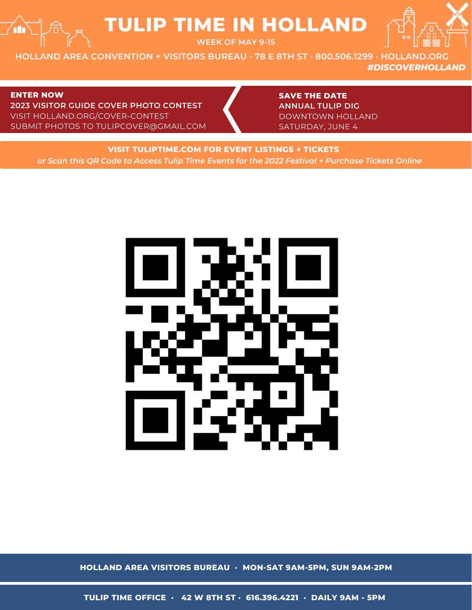# **TULIP TIME IN HOLLAND**

**WEEK OF MAY 9-15**

**HOLLAND AREA CONVENTION + VISITORS BUREAU · 78 E 8TH ST · 800.506.1299 · HOLLAND.ORG** *#DISCOVERHOLLAND*

#### **ENTER NOW**

**2023 VISITOR GUIDE COVER PHOTO CONTEST** VISIT HOLLAND.ORG/COVER-CONTEST SUBMIT PHOTOS TO TULIPCOVER@GMAIL.COM **SAVE THE DATE ANNUAL TULIP DIG** DOWNTOWN HOLLAND SATURDAY, JUNE 4

**VISIT TULIPTIME.COM FOR EVENT LISTINGS + TICKETS** *or Scan this QR Code to Access Tulip Time Events for the 2022 Festival + Purchase Tickets Online*



**HOLLAND AREA VISITORS BUREAU · MON-SAT 9AM-5PM, SUN 9AM-2PM**

**TULIP TIME OFFICE · 42 W 8TH ST · 616.396.4221 · DAILY 9AM - 5PM**